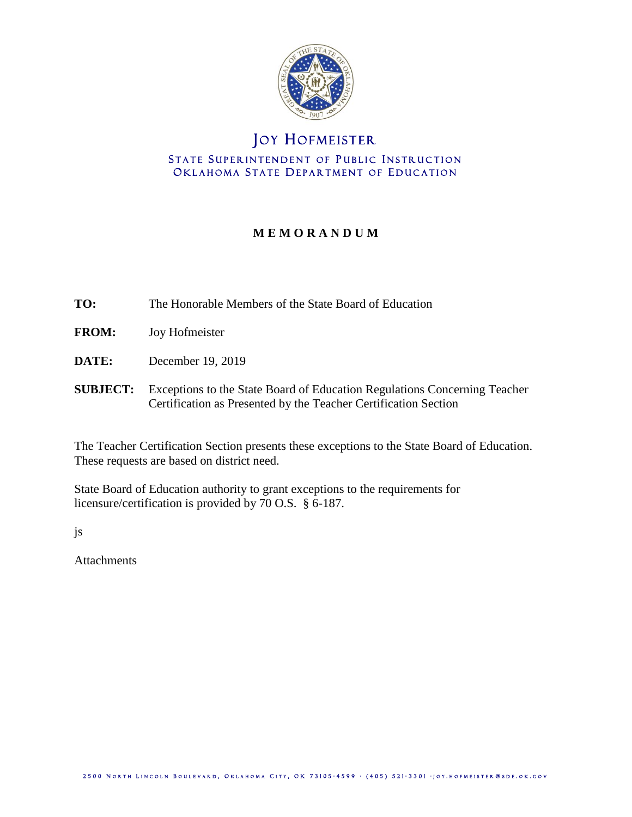

### JOY HOFMEISTER STATE SUPERINTENDENT OF PUBLIC INSTRUCTION OKLAHOMA STATE DEPARTMENT OF EDUCATION

### **M E M O R A N D U M**

- **TO:** The Honorable Members of the State Board of Education
- **FROM:** Joy Hofmeister
- **DATE:** December 19, 2019
- **SUBJECT:** Exceptions to the State Board of Education Regulations Concerning Teacher Certification as Presented by the Teacher Certification Section

The Teacher Certification Section presents these exceptions to the State Board of Education. These requests are based on district need.

State Board of Education authority to grant exceptions to the requirements for licensure/certification is provided by 70 O.S. § 6-187.

js

Attachments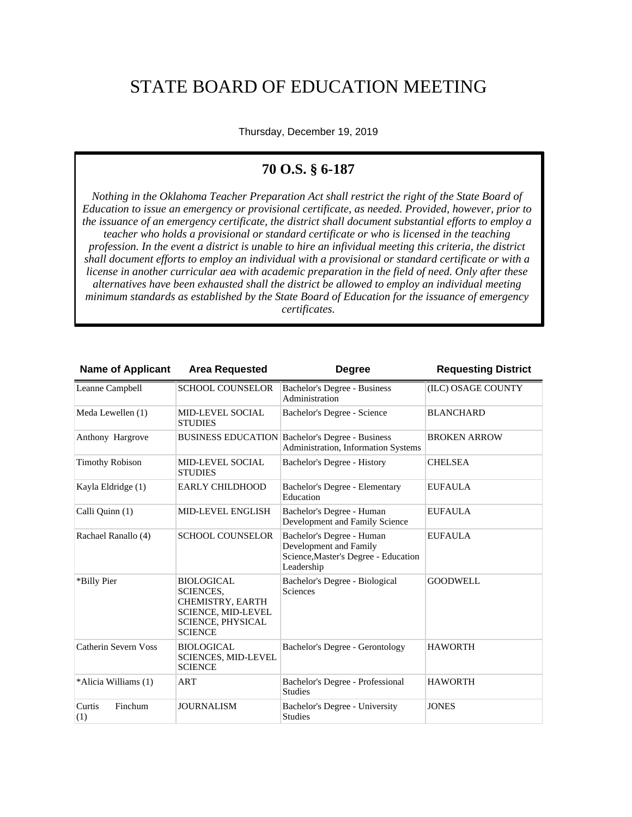## STATE BOARD OF EDUCATION MEETING

Thursday, December 19, 2019

#### **70 O.S. § 6-187**

*Nothing in the Oklahoma Teacher Preparation Act shall restrict the right of the State Board of Education to issue an emergency or provisional certificate, as needed. Provided, however, prior to the issuance of an emergency certificate, the district shall document substantial efforts to employ a teacher who holds a provisional or standard certificate or who is licensed in the teaching profession. In the event a district is unable to hire an infividual meeting this criteria, the district shall document efforts to employ an individual with a provisional or standard certificate or with a license in another curricular aea with academic preparation in the field of need. Only after these alternatives have been exhausted shall the district be allowed to employ an individual meeting minimum standards as established by the State Board of Education for the issuance of emergency certificates.*

| <b>Name of Applicant</b> | <b>Area Requested</b>                                                                                                                | <b>Degree</b>                                                                                             | <b>Requesting District</b> |
|--------------------------|--------------------------------------------------------------------------------------------------------------------------------------|-----------------------------------------------------------------------------------------------------------|----------------------------|
| Leanne Campbell          | <b>SCHOOL COUNSELOR</b>                                                                                                              | Bachelor's Degree - Business<br>Administration                                                            | (ILC) OSAGE COUNTY         |
| Meda Lewellen (1)        | MID-LEVEL SOCIAL<br><b>STUDIES</b>                                                                                                   | Bachelor's Degree - Science                                                                               | <b>BLANCHARD</b>           |
| Anthony Hargrove         |                                                                                                                                      | <b>BUSINESS EDUCATION Bachelor's Degree - Business</b><br>Administration, Information Systems             | <b>BROKEN ARROW</b>        |
| <b>Timothy Robison</b>   | <b>MID-LEVEL SOCIAL</b><br><b>STUDIES</b>                                                                                            | Bachelor's Degree - History                                                                               | <b>CHELSEA</b>             |
| Kayla Eldridge (1)       | <b>EARLY CHILDHOOD</b>                                                                                                               | Bachelor's Degree - Elementary<br>Education                                                               | <b>EUFAULA</b>             |
| Calli Quinn (1)          | <b>MID-LEVEL ENGLISH</b>                                                                                                             | Bachelor's Degree - Human<br>Development and Family Science                                               | <b>EUFAULA</b>             |
| Rachael Ranallo (4)      | <b>SCHOOL COUNSELOR</b>                                                                                                              | Bachelor's Degree - Human<br>Development and Family<br>Science, Master's Degree - Education<br>Leadership | <b>EUFAULA</b>             |
| *Billy Pier              | <b>BIOLOGICAL</b><br><b>SCIENCES,</b><br>CHEMISTRY, EARTH<br><b>SCIENCE, MID-LEVEL</b><br><b>SCIENCE, PHYSICAL</b><br><b>SCIENCE</b> | Bachelor's Degree - Biological<br>Sciences                                                                | <b>GOODWELL</b>            |
| Catherin Severn Voss     | <b>BIOLOGICAL</b><br><b>SCIENCES, MID-LEVEL</b><br><b>SCIENCE</b>                                                                    | Bachelor's Degree - Gerontology                                                                           | <b>HAWORTH</b>             |
| *Alicia Williams (1)     | <b>ART</b>                                                                                                                           | Bachelor's Degree - Professional<br><b>Studies</b>                                                        | <b>HAWORTH</b>             |
| Finchum<br>Curtis<br>(1) | <b>JOURNALISM</b>                                                                                                                    | Bachelor's Degree - University<br><b>Studies</b>                                                          | <b>JONES</b>               |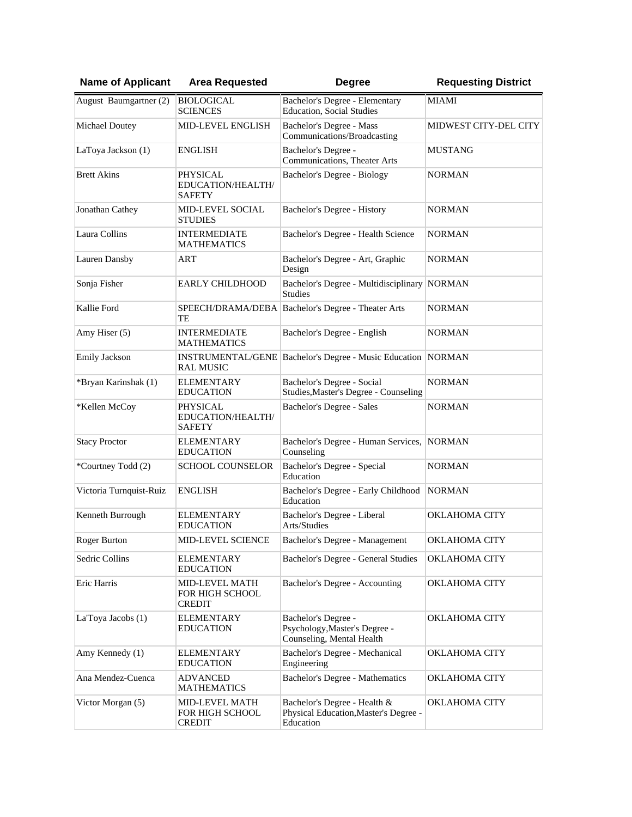| <b>Name of Applicant</b> | <b>Area Requested</b>                                     | <b>Degree</b>                                                                      | <b>Requesting District</b> |
|--------------------------|-----------------------------------------------------------|------------------------------------------------------------------------------------|----------------------------|
| August Baumgartner (2)   | <b>BIOLOGICAL</b><br><b>SCIENCES</b>                      | Bachelor's Degree - Elementary<br><b>Education, Social Studies</b>                 | <b>MIAMI</b>               |
| Michael Doutey           | MID-LEVEL ENGLISH                                         | Bachelor's Degree - Mass<br>Communications/Broadcasting                            | MIDWEST CITY-DEL CITY      |
| LaToya Jackson (1)       | <b>ENGLISH</b>                                            | Bachelor's Degree -<br>Communications, Theater Arts                                | MUSTANG                    |
| <b>Brett Akins</b>       | PHYSICAL<br>EDUCATION/HEALTH/<br>SAFETY                   | Bachelor's Degree - Biology                                                        | <b>NORMAN</b>              |
| Jonathan Cathey          | MID-LEVEL SOCIAL<br><b>STUDIES</b>                        | Bachelor's Degree - History                                                        | NORMAN                     |
| Laura Collins            | <b>INTERMEDIATE</b><br><b>MATHEMATICS</b>                 | Bachelor's Degree - Health Science                                                 | NORMAN                     |
| Lauren Dansby            | <b>ART</b>                                                | Bachelor's Degree - Art, Graphic<br>Design                                         | NORMAN                     |
| Sonja Fisher             | EARLY CHILDHOOD                                           | Bachelor's Degree - Multidisciplinary<br><b>Studies</b>                            | NORMAN                     |
| Kallie Ford              | TE                                                        | SPEECH/DRAMA/DEBA Bachelor's Degree - Theater Arts                                 | NORMAN                     |
| Amy Hiser (5)            | <b>INTERMEDIATE</b><br><b>MATHEMATICS</b>                 | Bachelor's Degree - English                                                        | <b>NORMAN</b>              |
| Emily Jackson            | <b>RAL MUSIC</b>                                          | INSTRUMENTAL/GENE   Bachelor's Degree - Music Education   NORMAN                   |                            |
| *Bryan Karinshak (1)     | <b>ELEMENTARY</b><br><b>EDUCATION</b>                     | Bachelor's Degree - Social<br>Studies, Master's Degree - Counseling                | <b>NORMAN</b>              |
| *Kellen McCoy            | <b>PHYSICAL</b><br>EDUCATION/HEALTH/<br><b>SAFETY</b>     | Bachelor's Degree - Sales                                                          | NORMAN                     |
| <b>Stacy Proctor</b>     | <b>ELEMENTARY</b><br><b>EDUCATION</b>                     | Bachelor's Degree - Human Services,<br>Counseling                                  | <b>NORMAN</b>              |
| *Courtney Todd (2)       | <b>SCHOOL COUNSELOR</b>                                   | Bachelor's Degree - Special<br>Education                                           | <b>NORMAN</b>              |
| Victoria Turnquist-Ruiz  | <b>ENGLISH</b>                                            | Bachelor's Degree - Early Childhood<br>Education                                   | <b>NORMAN</b>              |
| Kenneth Burrough         | <b>ELEMENTARY</b><br><b>EDUCATION</b>                     | Bachelor's Degree - Liberal<br>Arts/Studies                                        | <b>OKLAHOMA CITY</b>       |
| Roger Burton             | MID-LEVEL SCIENCE                                         | Bachelor's Degree - Management                                                     | OKLAHOMA CITY              |
| Sedric Collins           | <b>ELEMENTARY</b><br><b>EDUCATION</b>                     | Bachelor's Degree - General Studies                                                | OKLAHOMA CITY              |
| Eric Harris              | MID-LEVEL MATH<br>FOR HIGH SCHOOL<br><b>CREDIT</b>        | Bachelor's Degree - Accounting                                                     | OKLAHOMA CITY              |
| La'Toya Jacobs (1)       | <b>ELEMENTARY</b><br><b>EDUCATION</b>                     | Bachelor's Degree -<br>Psychology, Master's Degree -<br>Counseling, Mental Health  | OKLAHOMA CITY              |
| Amy Kennedy (1)          | <b>ELEMENTARY</b><br><b>EDUCATION</b>                     | Bachelor's Degree - Mechanical<br>Engineering                                      | OKLAHOMA CITY              |
| Ana Mendez-Cuenca        | <b>ADVANCED</b><br><b>MATHEMATICS</b>                     | Bachelor's Degree - Mathematics                                                    | OKLAHOMA CITY              |
| Victor Morgan (5)        | <b>MID-LEVEL MATH</b><br>FOR HIGH SCHOOL<br><b>CREDIT</b> | Bachelor's Degree - Health &<br>Physical Education, Master's Degree -<br>Education | OKLAHOMA CITY              |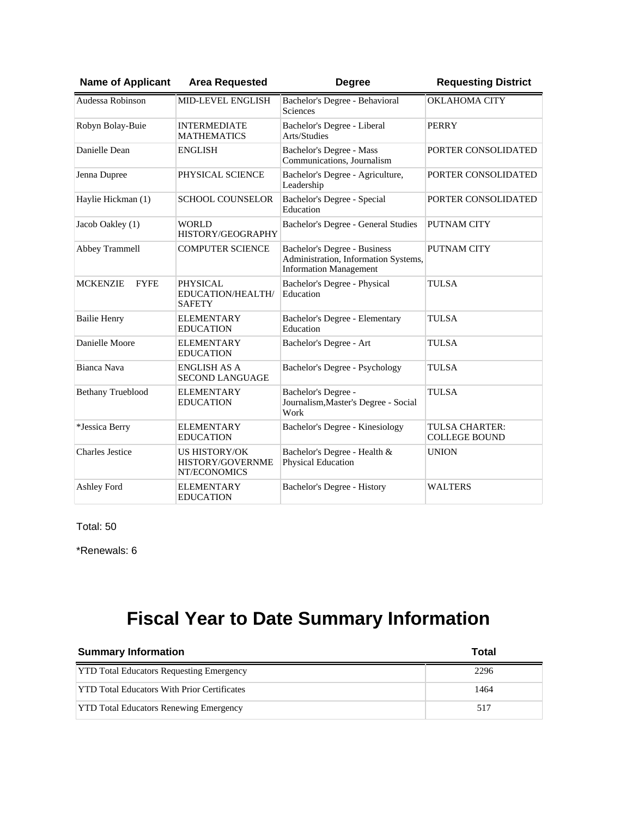| <b>Name of Applicant</b>       | <b>Area Requested</b>                                           | <b>Degree</b>                                                                                         | <b>Requesting District</b>             |
|--------------------------------|-----------------------------------------------------------------|-------------------------------------------------------------------------------------------------------|----------------------------------------|
| Audessa Robinson               | <b>MID-LEVEL ENGLISH</b>                                        | Bachelor's Degree - Behavioral<br>Sciences                                                            | <b>OKLAHOMA CITY</b>                   |
| Robyn Bolay-Buie               | <b>INTERMEDIATE</b><br><b>MATHEMATICS</b>                       | Bachelor's Degree - Liberal<br>Arts/Studies                                                           | <b>PERRY</b>                           |
| Danielle Dean                  | <b>ENGLISH</b>                                                  | Bachelor's Degree - Mass<br>Communications, Journalism                                                | PORTER CONSOLIDATED                    |
| Jenna Dupree                   | PHYSICAL SCIENCE                                                | Bachelor's Degree - Agriculture,<br>Leadership                                                        | PORTER CONSOLIDATED                    |
| Haylie Hickman (1)             | <b>SCHOOL COUNSELOR</b>                                         | Bachelor's Degree - Special<br>Education                                                              | PORTER CONSOLIDATED                    |
| Jacob Oakley (1)               | <b>WORLD</b><br>HISTORY/GEOGRAPHY                               | Bachelor's Degree - General Studies                                                                   | <b>PUTNAM CITY</b>                     |
| Abbey Trammell                 | <b>COMPUTER SCIENCE</b>                                         | Bachelor's Degree - Business<br>Administration, Information Systems,<br><b>Information Management</b> | PUTNAM CITY                            |
| <b>MCKENZIE</b><br><b>FYFE</b> | PHYSICAL<br>EDUCATION/HEALTH/<br><b>SAFETY</b>                  | Bachelor's Degree - Physical<br>Education                                                             | <b>TULSA</b>                           |
| <b>Bailie Henry</b>            | <b>ELEMENTARY</b><br><b>EDUCATION</b>                           | Bachelor's Degree - Elementary<br>Education                                                           | <b>TULSA</b>                           |
| Danielle Moore                 | <b>ELEMENTARY</b><br><b>EDUCATION</b>                           | Bachelor's Degree - Art                                                                               | <b>TULSA</b>                           |
| Bianca Nava                    | <b>ENGLISH AS A</b><br><b>SECOND LANGUAGE</b>                   | Bachelor's Degree - Psychology                                                                        | <b>TULSA</b>                           |
| <b>Bethany Trueblood</b>       | <b>ELEMENTARY</b><br><b>EDUCATION</b>                           | Bachelor's Degree -<br>Journalism, Master's Degree - Social<br>Work                                   | TULSA                                  |
| *Jessica Berry                 | <b>ELEMENTARY</b><br><b>EDUCATION</b>                           | Bachelor's Degree - Kinesiology                                                                       | TULSA CHARTER:<br><b>COLLEGE BOUND</b> |
| <b>Charles Jestice</b>         | <b>US HISTORY/OK</b><br><b>HISTORY/GOVERNME</b><br>NT/ECONOMICS | Bachelor's Degree - Health &<br>Physical Education                                                    | <b>UNION</b>                           |
| <b>Ashley Ford</b>             | <b>ELEMENTARY</b><br><b>EDUCATION</b>                           | Bachelor's Degree - History                                                                           | <b>WALTERS</b>                         |

Total: 50

\*Renewals: 6

# **Fiscal Year to Date Summary Information**

| <b>Summary Information</b>                         | Total |
|----------------------------------------------------|-------|
| <b>YTD Total Educators Requesting Emergency</b>    | 2296  |
| <b>YTD Total Educators With Prior Certificates</b> | 1464  |
| <b>YTD Total Educators Renewing Emergency</b>      | 517   |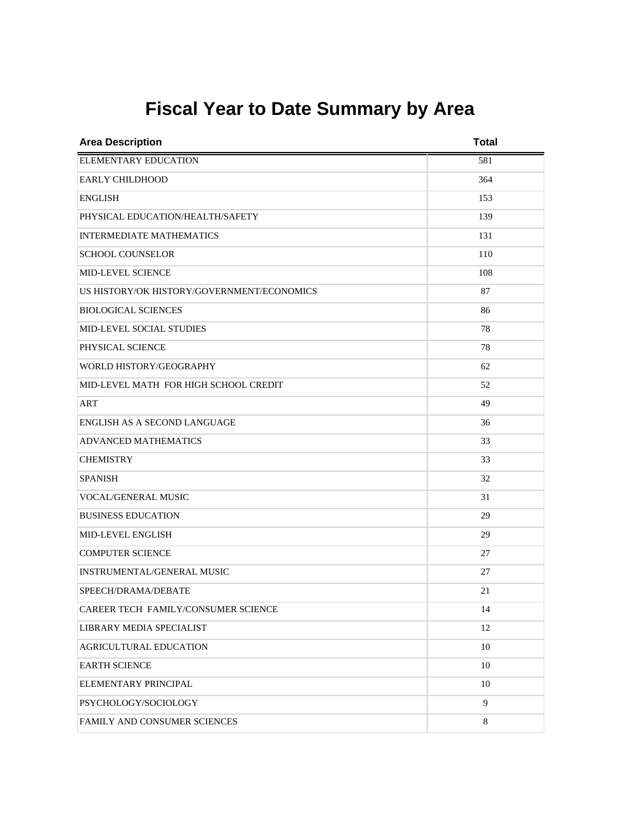|  |  |  | <b>Fiscal Year to Date Summary by Area</b> |  |  |
|--|--|--|--------------------------------------------|--|--|
|--|--|--|--------------------------------------------|--|--|

| <b>Area Description</b>                    | <b>Total</b> |
|--------------------------------------------|--------------|
| <b>ELEMENTARY EDUCATION</b>                | 581          |
| <b>EARLY CHILDHOOD</b>                     | 364          |
| <b>ENGLISH</b>                             | 153          |
| PHYSICAL EDUCATION/HEALTH/SAFETY           | 139          |
| <b>INTERMEDIATE MATHEMATICS</b>            | 131          |
| <b>SCHOOL COUNSELOR</b>                    | 110          |
| MID-LEVEL SCIENCE                          | 108          |
| US HISTORY/OK HISTORY/GOVERNMENT/ECONOMICS | 87           |
| <b>BIOLOGICAL SCIENCES</b>                 | 86           |
| MID-LEVEL SOCIAL STUDIES                   | 78           |
| PHYSICAL SCIENCE                           | 78           |
| WORLD HISTORY/GEOGRAPHY                    | 62           |
| MID-LEVEL MATH FOR HIGH SCHOOL CREDIT      | 52           |
| ART                                        | 49           |
| ENGLISH AS A SECOND LANGUAGE               | 36           |
| <b>ADVANCED MATHEMATICS</b>                | 33           |
| <b>CHEMISTRY</b>                           | 33           |
| <b>SPANISH</b>                             | 32           |
| VOCAL/GENERAL MUSIC                        | 31           |
| <b>BUSINESS EDUCATION</b>                  | 29           |
| <b>MID-LEVEL ENGLISH</b>                   | 29           |
| <b>COMPUTER SCIENCE</b>                    | 27           |
| <b>INSTRUMENTAL/GENERAL MUSIC</b>          | 27           |
| SPEECH/DRAMA/DEBATE                        | 21           |
| CAREER TECH FAMILY/CONSUMER SCIENCE        | 14           |
| LIBRARY MEDIA SPECIALIST                   | 12           |
| AGRICULTURAL EDUCATION                     | 10           |
| <b>EARTH SCIENCE</b>                       | 10           |
| ELEMENTARY PRINCIPAL                       | 10           |
| PSYCHOLOGY/SOCIOLOGY                       | 9            |
| FAMILY AND CONSUMER SCIENCES               | 8            |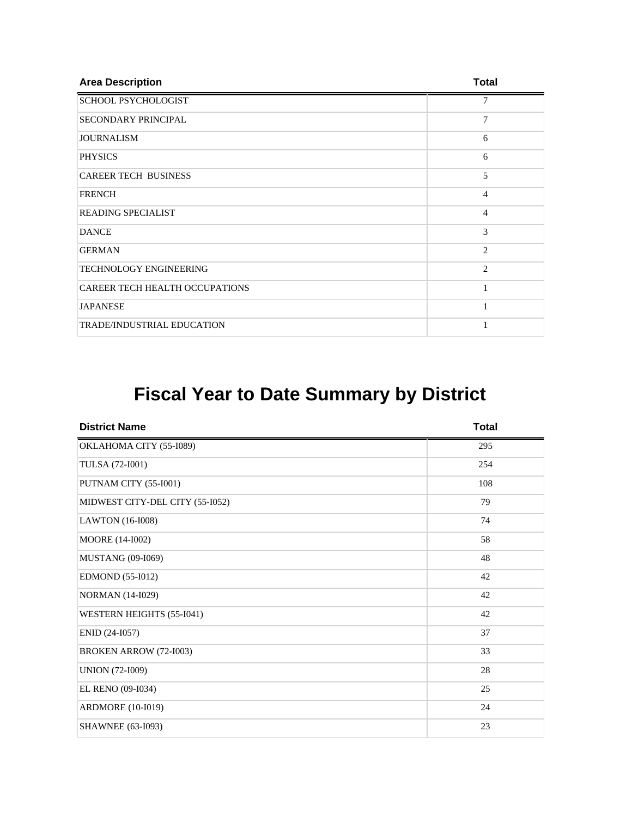| <b>Area Description</b>               | <b>Total</b>   |
|---------------------------------------|----------------|
| <b>SCHOOL PSYCHOLOGIST</b>            | 7              |
| SECONDARY PRINCIPAL                   | 7              |
| <b>JOURNALISM</b>                     | 6              |
| <b>PHYSICS</b>                        | 6              |
| <b>CAREER TECH BUSINESS</b>           | 5              |
| <b>FRENCH</b>                         | $\overline{4}$ |
| <b>READING SPECIALIST</b>             | $\overline{4}$ |
| <b>DANCE</b>                          | 3              |
| <b>GERMAN</b>                         | 2              |
| <b>TECHNOLOGY ENGINEERING</b>         | 2              |
| <b>CAREER TECH HEALTH OCCUPATIONS</b> | 1              |
| <b>JAPANESE</b>                       | 1              |
| TRADE/INDUSTRIAL EDUCATION            | 1              |

# **Fiscal Year to Date Summary by District**

| <b>District Name</b>            | <b>Total</b> |
|---------------------------------|--------------|
| OKLAHOMA CITY (55-I089)         | 295          |
| TULSA (72-I001)                 | 254          |
| PUTNAM CITY (55-I001)           | 108          |
| MIDWEST CITY-DEL CITY (55-I052) | 79           |
| LAWTON (16-I008)                | 74           |
| MOORE (14-I002)                 | 58           |
| <b>MUSTANG</b> (09-I069)        | 48           |
| EDMOND (55-I012)                | 42           |
| <b>NORMAN</b> (14-I029)         | 42           |
| WESTERN HEIGHTS (55-I041)       | 42           |
| ENID (24-I057)                  | 37           |
| BROKEN ARROW (72-I003)          | 33           |
| <b>UNION (72-I009)</b>          | 28           |
| EL RENO (09-I034)               | 25           |
| ARDMORE (10-I019)               | 24           |
| <b>SHAWNEE</b> (63-I093)        | 23           |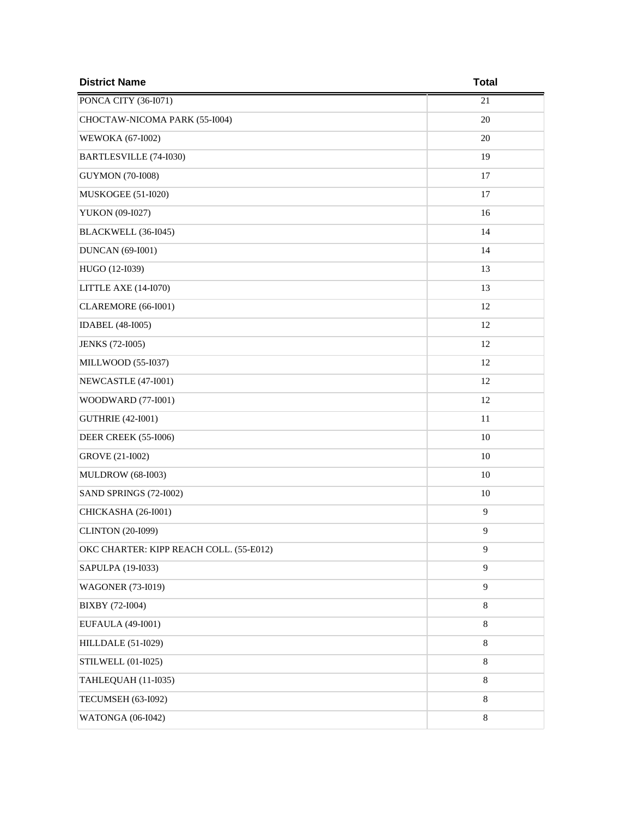| <b>District Name</b>                    | <b>Total</b> |
|-----------------------------------------|--------------|
| PONCA CITY (36-I071)                    | 21           |
| CHOCTAW-NICOMA PARK (55-I004)           | $20\,$       |
| WEWOKA (67-I002)                        | 20           |
| BARTLESVILLE (74-I030)                  | 19           |
| <b>GUYMON</b> (70-I008)                 | 17           |
| MUSKOGEE (51-I020)                      | 17           |
| YUKON (09-I027)                         | 16           |
| BLACKWELL (36-I045)                     | 14           |
| <b>DUNCAN</b> (69-I001)                 | 14           |
| HUGO (12-I039)                          | 13           |
| LITTLE AXE (14-I070)                    | 13           |
| CLAREMORE (66-I001)                     | 12           |
| <b>IDABEL</b> (48-I005)                 | 12           |
| <b>JENKS</b> (72-I005)                  | 12           |
| MILLWOOD (55-I037)                      | 12           |
| NEWCASTLE (47-I001)                     | 12           |
| WOODWARD (77-I001)                      | 12           |
| <b>GUTHRIE (42-I001)</b>                | 11           |
| <b>DEER CREEK (55-I006)</b>             | 10           |
| GROVE (21-I002)                         | 10           |
| <b>MULDROW</b> (68-I003)                | 10           |
| SAND SPRINGS (72-I002)                  | 10           |
| CHICKASHA (26-I001)                     | 9            |
| <b>CLINTON</b> (20-I099)                | 9            |
| OKC CHARTER: KIPP REACH COLL. (55-E012) | 9            |
| SAPULPA (19-I033)                       | 9            |
| <b>WAGONER (73-I019)</b>                | 9            |
| BIXBY (72-I004)                         | $\,8\,$      |
| <b>EUFAULA</b> (49-I001)                | 8            |
| <b>HILLDALE</b> (51-I029)               | $8\,$        |
| STILWELL (01-I025)                      | $8\,$        |
| TAHLEQUAH (11-I035)                     | 8            |
| <b>TECUMSEH (63-I092)</b>               | 8            |
| <b>WATONGA (06-I042)</b>                | $8\,$        |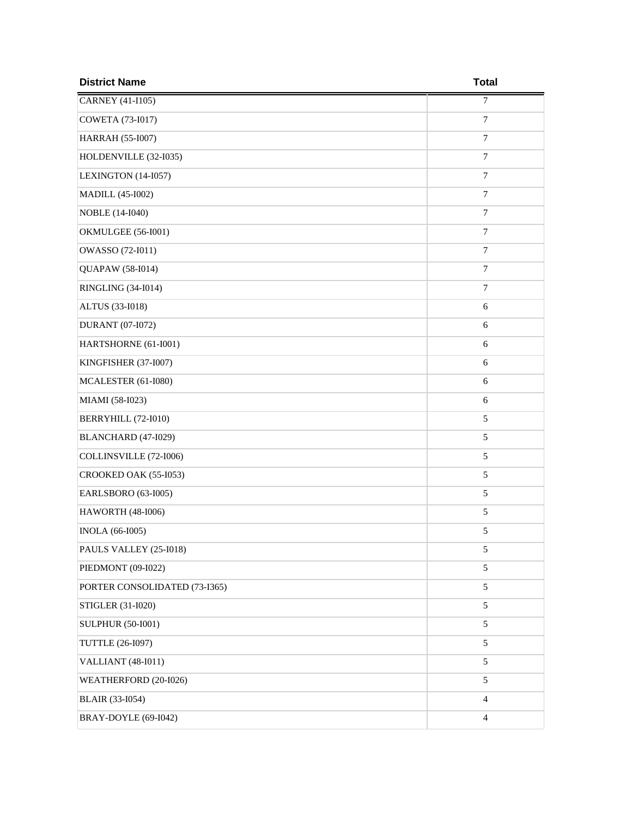| <b>District Name</b>          | <b>Total</b>     |
|-------------------------------|------------------|
| CARNEY (41-I105)              | $\tau$           |
| COWETA (73-I017)              | 7                |
| HARRAH (55-I007)              | $\tau$           |
| HOLDENVILLE (32-I035)         | $\tau$           |
| LEXINGTON (14-I057)           | $\boldsymbol{7}$ |
| <b>MADILL (45-I002)</b>       | $\tau$           |
| NOBLE (14-I040)               | $\boldsymbol{7}$ |
| <b>OKMULGEE (56-I001)</b>     | $\boldsymbol{7}$ |
| OWASSO (72-I011)              | 7                |
| QUAPAW (58-I014)              | 7                |
| <b>RINGLING (34-I014)</b>     | $\tau$           |
| ALTUS (33-I018)               | 6                |
| <b>DURANT</b> (07-I072)       | 6                |
| HARTSHORNE (61-I001)          | 6                |
| KINGFISHER (37-I007)          | 6                |
| <b>MCALESTER</b> (61-I080)    | 6                |
| MIAMI (58-I023)               | 6                |
| BERRYHILL (72-I010)           | 5                |
| BLANCHARD (47-I029)           | 5                |
| COLLINSVILLE (72-I006)        | 5                |
| CROOKED OAK (55-I053)         | 5                |
| EARLSBORO (63-I005)           | 5                |
| <b>HAWORTH (48-I006)</b>      | 5                |
| <b>INOLA</b> (66-I005)        | 5                |
| PAULS VALLEY (25-I018)        | 5                |
| PIEDMONT (09-I022)            | 5                |
| PORTER CONSOLIDATED (73-I365) | 5                |
| STIGLER (31-I020)             | 5                |
| <b>SULPHUR (50-I001)</b>      | 5                |
| <b>TUTTLE (26-I097)</b>       | 5                |
| <b>VALLIANT</b> (48-I011)     | 5                |
| WEATHERFORD (20-I026)         | 5                |
| <b>BLAIR</b> (33-I054)        | $\overline{4}$   |
| BRAY-DOYLE (69-I042)          | $\overline{4}$   |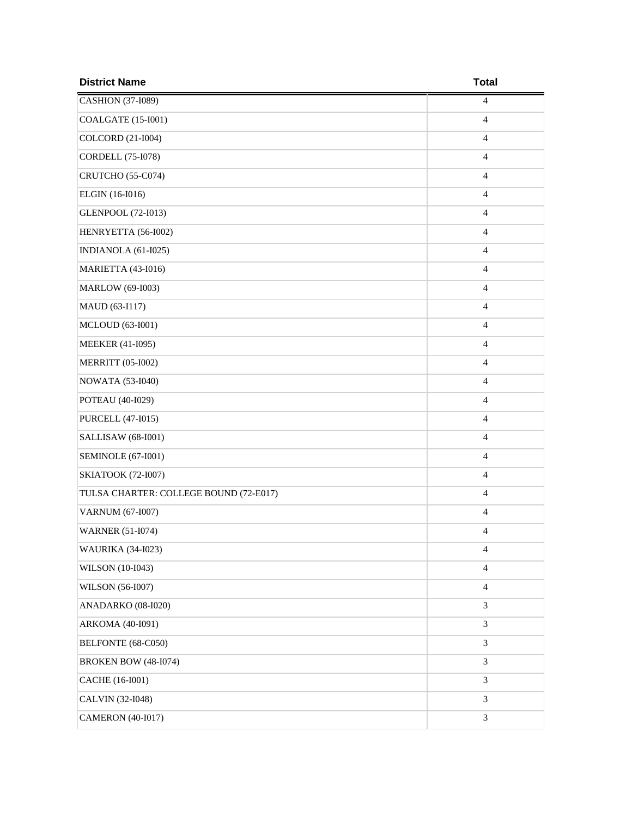| <b>District Name</b>                   | <b>Total</b>   |
|----------------------------------------|----------------|
| CASHION (37-I089)                      | 4              |
| <b>COALGATE</b> (15-I001)              | 4              |
| COLCORD (21-I004)                      | $\overline{4}$ |
| CORDELL (75-I078)                      | $\overline{4}$ |
| CRUTCHO (55-C074)                      | $\overline{4}$ |
| ELGIN (16-I016)                        | $\overline{4}$ |
| <b>GLENPOOL</b> (72-I013)              | $\overline{4}$ |
| HENRYETTA (56-I002)                    | $\overline{4}$ |
| INDIANOLA (61-I025)                    | $\overline{4}$ |
| <b>MARIETTA</b> (43-I016)              | $\overline{4}$ |
| <b>MARLOW</b> (69-I003)                | $\overline{4}$ |
| MAUD (63-I117)                         | $\overline{4}$ |
| MCLOUD (63-I001)                       | $\overline{4}$ |
| <b>MEEKER</b> (41-I095)                | $\overline{4}$ |
| <b>MERRITT</b> (05-I002)               | $\overline{4}$ |
| <b>NOWATA (53-I040)</b>                | $\overline{4}$ |
| POTEAU (40-I029)                       | $\overline{4}$ |
| <b>PURCELL (47-I015)</b>               | $\overline{4}$ |
| SALLISAW (68-I001)                     | $\overline{4}$ |
| <b>SEMINOLE</b> (67-I001)              | $\overline{4}$ |
| SKIATOOK (72-I007)                     | $\overline{4}$ |
| TULSA CHARTER: COLLEGE BOUND (72-E017) | $\overline{4}$ |
| VARNUM (67-I007)                       | $\overline{4}$ |
| <b>WARNER (51-I074)</b>                | $\overline{4}$ |
| <b>WAURIKA (34-I023)</b>               | $\overline{4}$ |
| WILSON (10-I043)                       | $\overline{4}$ |
| WILSON (56-I007)                       | $\overline{4}$ |
| ANADARKO (08-I020)                     | $\mathfrak{Z}$ |
| ARKOMA (40-I091)                       | 3              |
| BELFONTE (68-C050)                     | $\mathfrak{Z}$ |
| BROKEN BOW (48-I074)                   | 3              |
| CACHE (16-I001)                        | $\mathfrak{Z}$ |
| CALVIN (32-I048)                       | 3              |
| <b>CAMERON</b> (40-I017)               | $\mathfrak{Z}$ |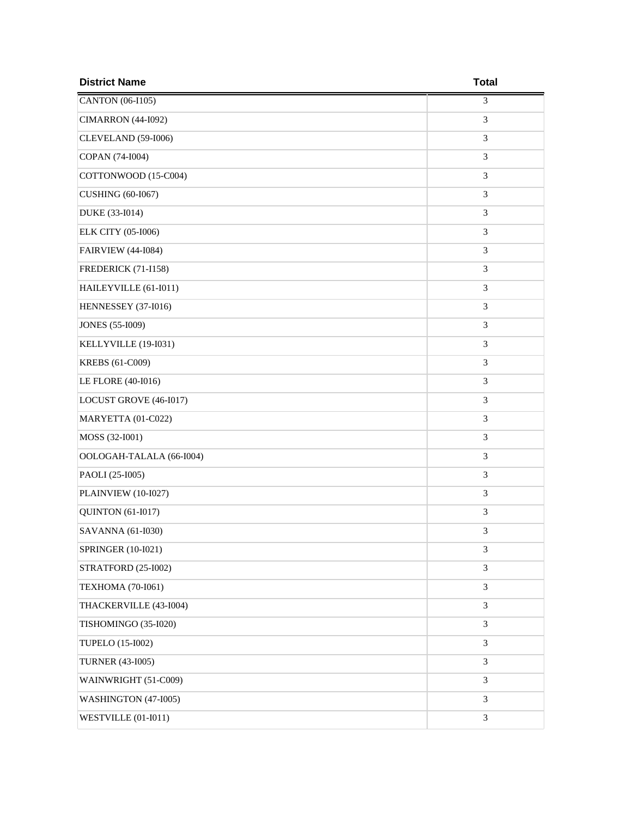| <b>District Name</b>       | <b>Total</b>   |
|----------------------------|----------------|
| CANTON (06-I105)           | 3              |
| <b>CIMARRON</b> (44-I092)  | 3              |
| <b>CLEVELAND</b> (59-I006) | 3              |
| COPAN (74-I004)            | 3              |
| COTTONWOOD (15-C004)       | 3              |
| <b>CUSHING</b> (60-I067)   | 3              |
| DUKE (33-I014)             | 3              |
| ELK CITY (05-I006)         | 3              |
| <b>FAIRVIEW (44-I084)</b>  | $\mathfrak{Z}$ |
| FREDERICK (71-I158)        | 3              |
| HAILEYVILLE (61-I011)      | 3              |
| HENNESSEY (37-I016)        | 3              |
| <b>JONES</b> (55-I009)     | 3              |
| KELLYVILLE (19-I031)       | 3              |
| <b>KREBS</b> (61-C009)     | 3              |
| LE FLORE (40-I016)         | 3              |
| LOCUST GROVE (46-I017)     | 3              |
| MARYETTA (01-C022)         | 3              |
| MOSS (32-I001)             | 3              |
| OOLOGAH-TALALA (66-I004)   | 3              |
| PAOLI (25-I005)            | 3              |
| PLAINVIEW (10-I027)        | 3              |
| <b>QUINTON</b> (61-I017)   | 3              |
| SAVANNA (61-I030)          | 3              |
| SPRINGER (10-I021)         | 3              |
| STRATFORD (25-I002)        | $\mathfrak{Z}$ |
| <b>TEXHOMA (70-I061)</b>   | 3              |
| THACKERVILLE (43-I004)     | $\mathfrak{Z}$ |
| TISHOMINGO (35-I020)       | 3              |
| <b>TUPELO</b> (15-I002)    | $\mathfrak{Z}$ |
| <b>TURNER (43-I005)</b>    | 3              |
| WAINWRIGHT (51-C009)       | $\mathfrak{Z}$ |
| WASHINGTON (47-I005)       | 3              |
| WESTVILLE (01-I011)        | $\mathfrak{Z}$ |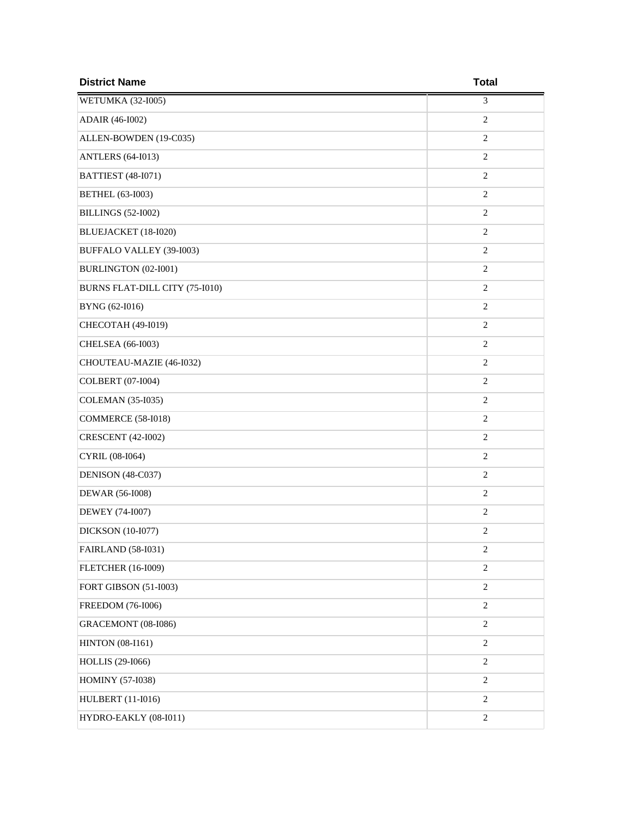| <b>District Name</b>           | <b>Total</b>   |
|--------------------------------|----------------|
| <b>WETUMKA (32-I005)</b>       | 3              |
| ADAIR (46-I002)                | $\mathfrak{2}$ |
| ALLEN-BOWDEN (19-C035)         | $\sqrt{2}$     |
| <b>ANTLERS</b> (64-I013)       | $\mathfrak{2}$ |
| <b>BATTIEST</b> (48-I071)      | $\sqrt{2}$     |
| <b>BETHEL</b> (63-I003)        | $\overline{2}$ |
| <b>BILLINGS</b> (52-I002)      | $\overline{2}$ |
| BLUEJACKET (18-I020)           | $\overline{2}$ |
| BUFFALO VALLEY (39-I003)       | $\overline{2}$ |
| BURLINGTON (02-I001)           | $\overline{2}$ |
| BURNS FLAT-DILL CITY (75-I010) | $\sqrt{2}$     |
| BYNG (62-I016)                 | $\overline{2}$ |
| CHECOTAH (49-I019)             | $\overline{2}$ |
| CHELSEA (66-I003)              | $\mathfrak{2}$ |
| CHOUTEAU-MAZIE (46-I032)       | $\mathfrak{2}$ |
| COLBERT (07-I004)              | $\overline{2}$ |
| COLEMAN (35-I035)              | $\sqrt{2}$     |
| <b>COMMERCE</b> (58-I018)      | $\mathfrak{2}$ |
| <b>CRESCENT</b> (42-I002)      | $\overline{2}$ |
| CYRIL (08-I064)                | $\mathfrak{2}$ |
| DENISON (48-C037)              | $\overline{2}$ |
| DEWAR (56-I008)                | $\overline{2}$ |
| DEWEY (74-I007)                | $\mathfrak{2}$ |
| <b>DICKSON</b> (10-I077)       | $\overline{2}$ |
| <b>FAIRLAND</b> (58-I031)      | $\sqrt{2}$     |
| <b>FLETCHER (16-I009)</b>      | $\sqrt{2}$     |
| FORT GIBSON (51-I003)          | $\overline{2}$ |
| FREEDOM (76-I006)              | $\sqrt{2}$     |
| GRACEMONT (08-I086)            | $\overline{2}$ |
| <b>HINTON</b> (08-I161)        | $\sqrt{2}$     |
| HOLLIS (29-I066)               | $\overline{2}$ |
| <b>HOMINY</b> (57-I038)        | $\overline{2}$ |
| <b>HULBERT</b> (11-I016)       | $\overline{2}$ |
| HYDRO-EAKLY (08-I011)          | $\sqrt{2}$     |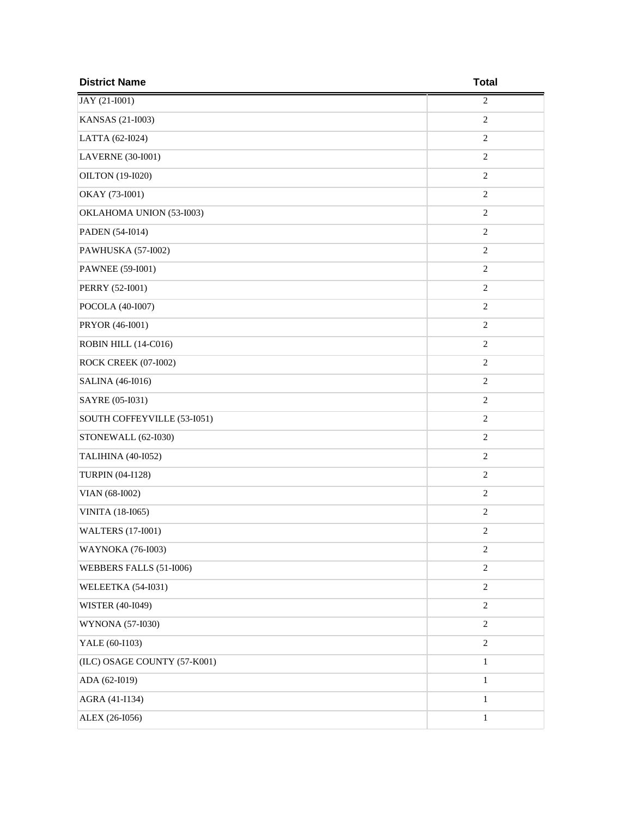| <b>District Name</b>         | <b>Total</b>   |
|------------------------------|----------------|
| JAY (21-I001)                | $\overline{2}$ |
| KANSAS (21-I003)             | $\mathfrak{2}$ |
| LATTA (62-I024)              | $\overline{2}$ |
| LAVERNE (30-I001)            | $\overline{2}$ |
| OILTON (19-I020)             | $\sqrt{2}$     |
| OKAY (73-I001)               | $\overline{2}$ |
| OKLAHOMA UNION (53-I003)     | $\overline{2}$ |
| PADEN (54-I014)              | $\overline{2}$ |
| PAWHUSKA (57-I002)           | $\overline{2}$ |
| PAWNEE (59-I001)             | $\overline{2}$ |
| PERRY (52-I001)              | $\sqrt{2}$     |
| POCOLA (40-I007)             | $\overline{2}$ |
| PRYOR (46-I001)              | $\overline{2}$ |
| ROBIN HILL (14-C016)         | $\overline{2}$ |
| ROCK CREEK (07-I002)         | $\sqrt{2}$     |
| SALINA (46-I016)             | $\overline{2}$ |
| SAYRE (05-I031)              | $\overline{2}$ |
| SOUTH COFFEYVILLE (53-I051)  | $\overline{2}$ |
| STONEWALL (62-I030)          | $\overline{2}$ |
| <b>TALIHINA (40-I052)</b>    | $\overline{2}$ |
| <b>TURPIN (04-I128)</b>      | $\overline{2}$ |
| VIAN (68-I002)               | $\overline{2}$ |
| VINITA (18-I065)             | $\mathfrak{2}$ |
| <b>WALTERS</b> (17-I001)     | $\overline{2}$ |
| WAYNOKA (76-I003)            | $\mathfrak{2}$ |
| WEBBERS FALLS (51-I006)      | $\sqrt{2}$     |
| <b>WELEETKA</b> (54-I031)    | $\overline{c}$ |
| WISTER (40-I049)             | $\sqrt{2}$     |
| <b>WYNONA</b> (57-I030)      | $\overline{2}$ |
| YALE (60-I103)               | $\sqrt{2}$     |
| (ILC) OSAGE COUNTY (57-K001) | $\,1$          |
| ADA (62-I019)                | $\,1\,$        |
| AGRA (41-I134)               | $\,1$          |
| ALEX (26-I056)               | $\,1\,$        |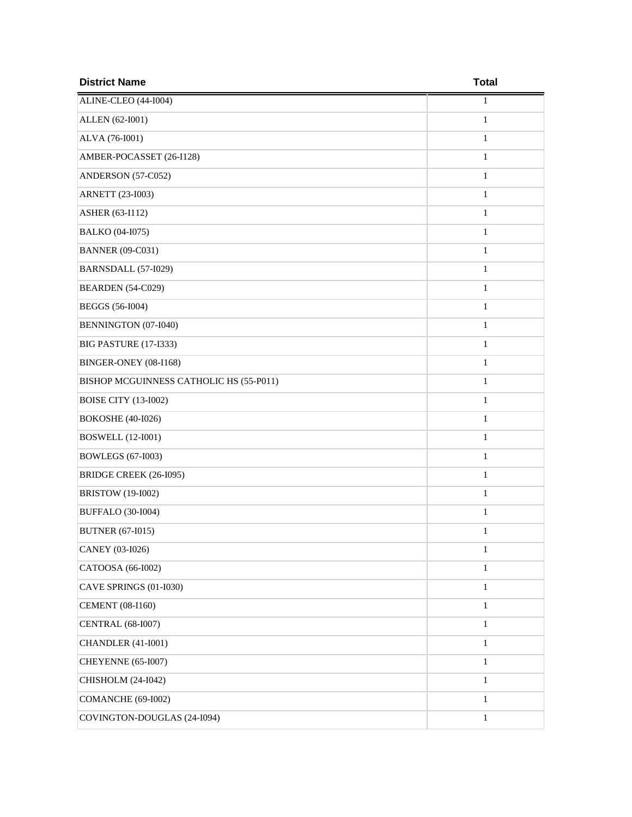| <b>District Name</b>                    | <b>Total</b> |
|-----------------------------------------|--------------|
| ALINE-CLEO (44-I004)                    | 1            |
| ALLEN (62-I001)                         | $\mathbf{1}$ |
| ALVA (76-I001)                          | $\mathbf{1}$ |
| AMBER-POCASSET (26-I128)                | $\mathbf{1}$ |
| ANDERSON (57-C052)                      | $\mathbf{1}$ |
| ARNETT (23-I003)                        | $\mathbf{1}$ |
| ASHER (63-I112)                         | $\mathbf{1}$ |
| BALKO (04-I075)                         | $\mathbf{1}$ |
| <b>BANNER</b> (09-C031)                 | $\mathbf{1}$ |
| BARNSDALL (57-I029)                     | $\mathbf{1}$ |
| BEARDEN (54-C029)                       | $\mathbf{1}$ |
| <b>BEGGS</b> (56-I004)                  | $\mathbf{1}$ |
| BENNINGTON (07-I040)                    | $\mathbf 1$  |
| <b>BIG PASTURE (17-I333)</b>            | $\mathbf{1}$ |
| BINGER-ONEY (08-I168)                   | $\mathbf{1}$ |
| BISHOP MCGUINNESS CATHOLIC HS (55-P011) | $\mathbf{1}$ |
| <b>BOISE CITY (13-I002)</b>             | $\mathbf{1}$ |
| <b>BOKOSHE</b> (40-I026)                | $\mathbf{1}$ |
| <b>BOSWELL</b> (12-I001)                | $\mathbf{1}$ |
| <b>BOWLEGS</b> (67-I003)                | $\mathbf{1}$ |
| BRIDGE CREEK (26-I095)                  | $\mathbf{1}$ |
| <b>BRISTOW</b> (19-I002)                | $\mathbf{1}$ |
| <b>BUFFALO</b> (30-I004)                | $\mathbf{1}$ |
| <b>BUTNER</b> (67-I015)                 | $\mathbf{1}$ |
| CANEY (03-I026)                         | $\mathbf{1}$ |
| CATOOSA (66-I002)                       | $\mathbf{1}$ |
| CAVE SPRINGS (01-I030)                  | $\mathbf{1}$ |
| <b>CEMENT</b> (08-I160)                 | $\mathbf{1}$ |
| <b>CENTRAL</b> (68-I007)                | $\mathbf{1}$ |
| <b>CHANDLER</b> (41-I001)               | $\mathbf{1}$ |
| <b>CHEYENNE</b> (65-I007)               | $\mathbf{1}$ |
| CHISHOLM (24-I042)                      | $\mathbf{1}$ |
| COMANCHE (69-I002)                      | $\mathbf{1}$ |
| COVINGTON-DOUGLAS (24-I094)             | $\mathbf{1}$ |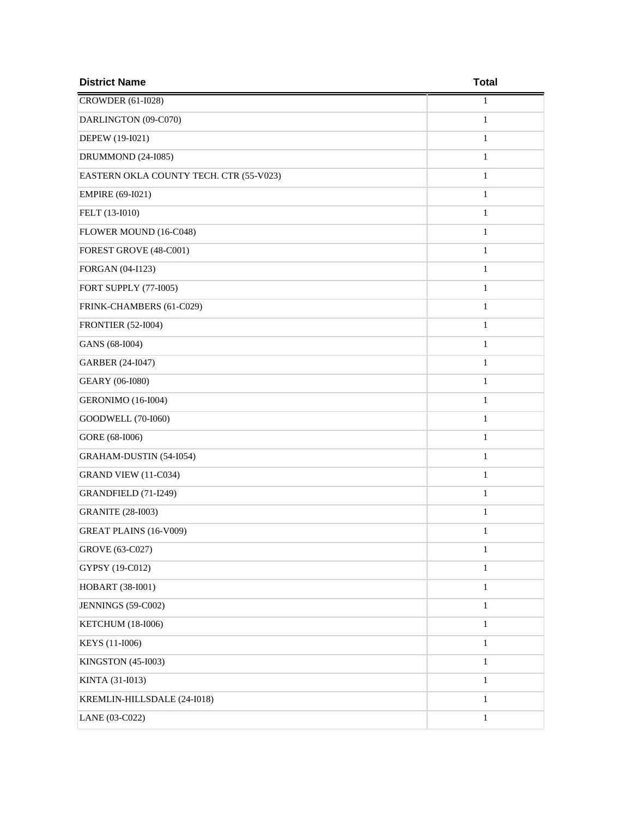| <b>District Name</b>                    | <b>Total</b> |
|-----------------------------------------|--------------|
| CROWDER (61-I028)                       | 1            |
| DARLINGTON (09-C070)                    | $\mathbf{1}$ |
| DEPEW (19-I021)                         | $\mathbf{1}$ |
| DRUMMOND (24-I085)                      | 1            |
| EASTERN OKLA COUNTY TECH. CTR (55-V023) | $\mathbf{1}$ |
| EMPIRE (69-I021)                        | 1            |
| FELT (13-I010)                          | $\mathbf{1}$ |
| FLOWER MOUND (16-C048)                  | 1            |
| FOREST GROVE (48-C001)                  | $\mathbf{1}$ |
| FORGAN (04-I123)                        | 1            |
| FORT SUPPLY (77-I005)                   | $\mathbf{1}$ |
| FRINK-CHAMBERS (61-C029)                | 1            |
| <b>FRONTIER (52-I004)</b>               | $\mathbf{1}$ |
| GANS (68-I004)                          | $\mathbf{1}$ |
| GARBER (24-I047)                        | $\mathbf{1}$ |
| <b>GEARY</b> (06-I080)                  | $\mathbf{1}$ |
| <b>GERONIMO</b> (16-I004)               | $\mathbf{1}$ |
| GOODWELL (70-I060)                      | $\mathbf{1}$ |
| GORE (68-I006)                          | $\mathbf{1}$ |
| GRAHAM-DUSTIN (54-I054)                 | $\mathbf{1}$ |
| <b>GRAND VIEW (11-C034)</b>             | $\mathbf{1}$ |
| GRANDFIELD (71-I249)                    | $\mathbf{1}$ |
| <b>GRANITE (28-I003)</b>                | $\mathbf{1}$ |
| GREAT PLAINS (16-V009)                  | $\mathbf{1}$ |
| GROVE (63-C027)                         | $\mathbf{1}$ |
| GYPSY (19-C012)                         | $\mathbf{1}$ |
| HOBART (38-I001)                        | $\mathbf{1}$ |
| JENNINGS (59-C002)                      | $\,1$        |
| <b>KETCHUM (18-I006)</b>                | $\mathbf{1}$ |
| KEYS (11-I006)                          | $\,1$        |
| <b>KINGSTON (45-I003)</b>               | $\mathbf{1}$ |
| KINTA (31-I013)                         | $\mathbf{1}$ |
| KREMLIN-HILLSDALE (24-I018)             | $\mathbf{1}$ |
| LANE (03-C022)                          | $\mathbf{1}$ |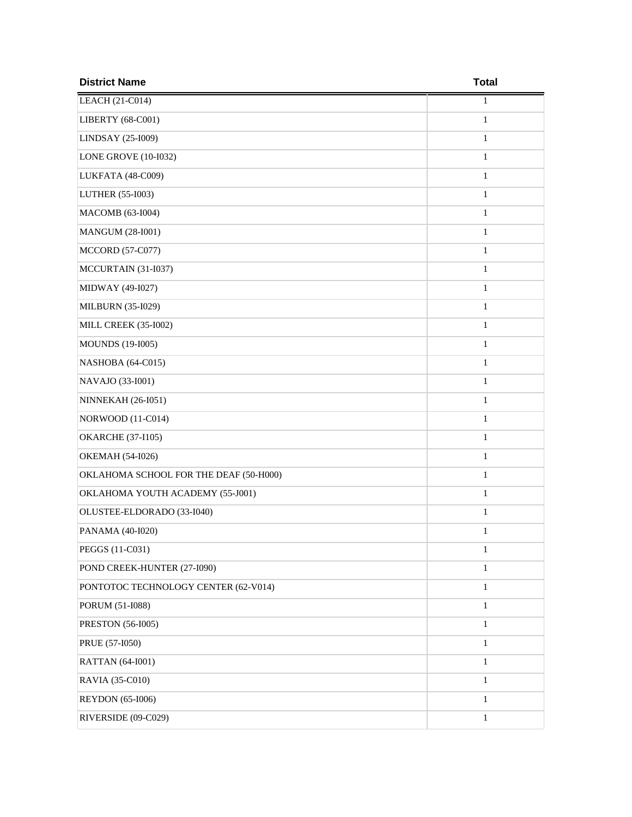| <b>District Name</b>                   | <b>Total</b> |
|----------------------------------------|--------------|
| LEACH (21-C014)                        | 1            |
| LIBERTY (68-C001)                      | $\mathbf{1}$ |
| LINDSAY (25-I009)                      | $\mathbf{1}$ |
| <b>LONE GROVE (10-I032)</b>            | $\mathbf{1}$ |
| LUKFATA (48-C009)                      | $\mathbf{1}$ |
| LUTHER (55-I003)                       | $\mathbf{1}$ |
| MACOMB (63-I004)                       | $\mathbf{1}$ |
| <b>MANGUM (28-I001)</b>                | $\mathbf{1}$ |
| <b>MCCORD</b> (57-C077)                | $\mathbf{1}$ |
| MCCURTAIN (31-I037)                    | $\mathbf{1}$ |
| MIDWAY (49-I027)                       | $\mathbf{1}$ |
| <b>MILBURN</b> (35-I029)               | $\mathbf{1}$ |
| <b>MILL CREEK (35-I002)</b>            | $\mathbf{1}$ |
| <b>MOUNDS</b> (19-I005)                | $\mathbf{1}$ |
| NASHOBA (64-C015)                      | $\mathbf{1}$ |
| NAVAJO (33-I001)                       | $\mathbf{1}$ |
| <b>NINNEKAH</b> (26-I051)              | $\mathbf{1}$ |
| NORWOOD (11-C014)                      | $\mathbf{1}$ |
| <b>OKARCHE</b> (37-I105)               | $\mathbf{1}$ |
| OKEMAH (54-I026)                       | $\mathbf{1}$ |
| OKLAHOMA SCHOOL FOR THE DEAF (50-H000) | $\mathbf{1}$ |
| OKLAHOMA YOUTH ACADEMY (55-J001)       | $\mathbf{1}$ |
| OLUSTEE-ELDORADO (33-I040)             | $\mathbf{1}$ |
| PANAMA (40-I020)                       | $\mathbf{1}$ |
| PEGGS (11-C031)                        | $\mathbf{1}$ |
| POND CREEK-HUNTER (27-I090)            | $\mathbf{1}$ |
| PONTOTOC TECHNOLOGY CENTER (62-V014)   | $\mathbf{1}$ |
| PORUM (51-I088)                        | $\mathbf{1}$ |
| <b>PRESTON (56-I005)</b>               | $\mathbf{1}$ |
| PRUE (57-I050)                         | $\mathbf{1}$ |
| <b>RATTAN</b> (64-I001)                | $\mathbf{1}$ |
| RAVIA (35-C010)                        | $\mathbf{1}$ |
| <b>REYDON</b> (65-I006)                | $\mathbf{1}$ |
| RIVERSIDE (09-C029)                    | $\mathbf{1}$ |